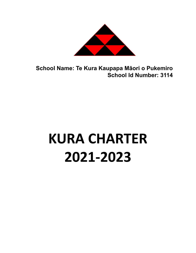

**School Name: Te Kura Kaupapa Māori o Pukemiro School Id Number: 3114**

# **KURA CHARTER 2021-2023**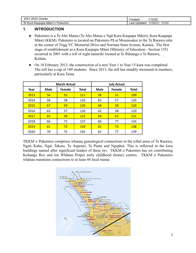| ∘מ∩מ<br>Charter<br>202<br>I – / I I /<br>- ulu | /10/20<br>teated. |
|------------------------------------------------|-------------------|
| ۵۵                                             | 12.52             |
| Pukemıro                                       | 11/02/21          |
| Kura                                           | Jodated:          |
| Kaupapa                                        | net.              |
| ≀ Māori o                                      | -aou              |
| יי                                             | ں ہے ا            |

#### **1. INTRODUCTION**

- Pukemiro is a Te Aho Matua (Te Aho Matua o Ngā Kura Kaupapa Māori), Kura Kaupapa Māori (KKM). Pukemiro is located on Pukemiro Pā at Moumoukai in the Te Rarawa rohe at the corner of Trigg VC Memorial Drive and Norman Senn Avenue, Kaitaia. The first stage of establishment as a Kura Kaupapa Māori (Ministry of Education - Section 155) occurred in 2001 with a roll of eight tamariki located at Te Rūnanga o Te Rarawa, Kaitaia.
- On 18 February 2013, the construction of a new Year 1 to Year 15 kura was completed. The roll has a cap of 180 students. Since 2013, the roll has steadily increased in numbers, particularly at Kura Teina.

|      | <b>March Actual</b> |        |              |             |               | <b>July Actual</b> |  |
|------|---------------------|--------|--------------|-------------|---------------|--------------------|--|
| Year | <b>Male</b>         | Female | <b>Total</b> | <b>Male</b> | <b>Female</b> | <b>Total</b>       |  |
| 2013 | 56                  | 55     | <b>111</b>   | 58          | 51            | <b>109</b>         |  |
| 2014 | 58                  | 58     | 116          | 63          | 57            | 120                |  |
| 2015 | 67                  | 59     | <b>126</b>   | 68          | 58            | <b>126</b>         |  |
| 2016 | 63                  | 57     | 120          | 62          | 58            | 120                |  |
| 2017 | 65                  | 58     | <b>123</b>   | 69          | 62            | <b>131</b>         |  |
| 2018 | 66                  | 71     | 137          | 66          | 77            | 143                |  |
| 2019 | 61                  | 73     | 134          | 65          | 73            | 138                |  |
| 2020 | 70                  | 75     | 145          | 62          | 77            | 139                |  |

TKKM o Pukemiro comprises whanau genealogical connections to the tribal areas of Te Rarawa, Ngati Kahu, Ngai Takoto, Te Aupouri, Te Paatu and Ngaphui. This is reflected in the kura buildings named after significant leaders of these iwi. TKKM o Pukemiro has six contributing Kohanga Reo and ten Whānau Poipoi early childhood (home) centres. TKKM o Pukemiro whānau maintains connections to at least 44 local marae.

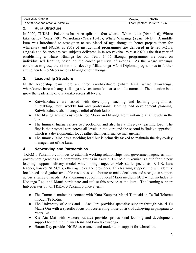| Charter<br>202<br>nnnn<br>. .                                   | /10/20<br>`r≏≏t≙n'<br>-αισυ                 |
|-----------------------------------------------------------------|---------------------------------------------|
| $T_{\rm P}$<br>Māori<br>Pukemiro<br>Kura<br>Kaupapa<br>ັບ<br>יי | 12.52<br>11/02/21<br>dated.<br>_ast<br>ںں.ء |

#### **2. Kura Structure**

In 2020, TKKM o Pukemiro has been split into four whare. Whare teina (Years 1-6); Whare takawaenga (Years 7-9); Wharekura (Years 10-13); Whare Wānanga (Years 14-15). A middle kura was introduced to strengthen te reo Māori of ngā ākonga to better prepare them for wharekura and NCEA as 80% of instructional programmes are delivered in te reo Māori. English and Science are two subjects delivered in te reo Pakeha. Whilst 2020 is the first year of establishing a whare wānanga for our Years 14-15 ākonga, programmes are based on individualised learning based on the career pathways of ākonga. As the whare wānanga continues to grow, the vision is to develop Mātauranga Māori Diploma programmes to further strengthen te reo Māori me ona tikanga of our ākonga.

#### **3. Leadership Structure**

In the leadership team there are three kaiwhakahaere (whare teina, whare takawaenga, wharekura/whare wānanga), tikanga adviser, tumuaki tuarua and the tumuaki. The intention is to grow the leadership of our kaiako across all levels.

- Kaiwhakahaere are tasked with developing teaching and learning programmes, timetabling, ropū weekly hui and professional learning and development planning. Kaiwhakahaere also manages relief of their kaiako.
- The tikanga adviser ensures te reo Māori and tikanga are maintained at all levels in the kura.
- The tumuaki tuarua carries two portfolios and also has a three-day teaching load. The first is the pastoral care across all levels in the kura and the second is 'kaiako appraisal' which is a developmental focus rather than performance management.
- The tumuaki also has a teaching load but is primarily tasked to maintain the day-to-day management of the kura.

# **4. Networking and Partnerships**

TKKM o Pukemiro continues to establish working relationships with government agencies, nongovernment agencies and community groups in Kaitaia. TKKM o Pukemiro is a hub for the new learning support delivery model which brings together MoE staff, specialists, RTLB, kura leaders, kaiako, SENCOs, other agencies and providers. This learning support hub will identify local needs and gather available resources, collaborate to make decisions and strengthen support across a range of needs. As a learning support hub local Māori medium ECE which includes Te Kohanga Reo, and Mauri participate and utilise this service at the kura. The learning support hub operates out of TKKM o Pukemiro once a term.

- The Tumuaki maintains contact with Kura Kaupapa Māori Tumuaki in Te Tai Tokerau through Te Kotiu.
- The University of Auckland Ana Pipi provides specialist support through Mauri Tū Mauri Ora with a specific focus on accelerating those at risk of achieving in pangarau to Years 1-8.
- Kia Ata Mai with Makere Karatea provides professional learning and development support for tuhituhi in kura teina and kura takawaenga.
- Harata Day provides NCEA assessment and moderation support for wharekura.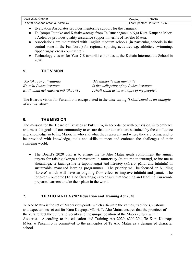| Charter<br>2021<br>1-2023                                                    | 1/10/20<br>Created:                        |
|------------------------------------------------------------------------------|--------------------------------------------|
| 'ukemıro<br>Māori<br>Kura<br>Kaupapa<br>$\overline{\phantom{a}}$<br>. .<br>ັ | イク・よつ<br>1/02/21<br>_ast<br>Updated:<br>ںے |

- Evaluation Associates provides mentoring support for the Tumuaki.
- Te Roopu Tautoko and Kaitakawaenga from Te Runanaganui o Ngā Kura Kaupapa Māori o Aotearoa provides quality assurance support in terms of Te Aho Matua.
- Associations are maintained with English medium schools (in particular, schools in the central zone in the Far North) for regional sporting activities e.g. athletics, swimming, ripper rugby, cross country etc.).
- Technology classes for Year 7-8 tamariki continues at the Kaitaia Intermediate School in 2020.

# **5. THE VISION**

| 'Ko tōku rangatiratanga              | 'My authority and humanity'                |
|--------------------------------------|--------------------------------------------|
| Ko tōku Pukemirotanga                | Is the wellspring of my Pukemirotanga      |
| Ka tū ahau hei raukura mō tōku iwi'. | I shall stand as an example of my people'. |

The Board's vision for Pukemiro is encapsulated in the wise saying *'I shall stand as an example of my iwi'* above.

#### **6. THE MISSION**

The mission for the Board of Trustees at Pukemiro, in accordance with our vision, is to embrace and meet the goals of our community to ensure that our tamariki are sustained by the confidence and knowledge in being Māori, in who and what they represent and where they are going, and to be provided with knowledge, tools and skills to meet and embrace the challenges of their changing world.

• The Board's 2020 plan is to ensure the Te Aho Matua goals compliment the annual targets for raising akonga achievement in **numeracy** (te tau me te taurangi, te ine me te ahuahanga, te tauanga me te tuponotanga**)** and **literacy** (kōrero, pānui and tuhituhi) in sustainable, managed learning programmes. The priority will be focused on building 'korero' which will have an ongoing flow effect to improve tuhituhi and panui. The long-term outcome (Te Tino Ūaratanga) is to ensure that teaching and learning Kura-wide prepares learners to take their place in the world.

#### **7. TE AHO MATUA s202 Education and Training Act 2020**

Te Aho Matua is the set of Māori viewpoints which articulate the values, traditions, customs and expectations set out for Kura Kaupapa Māori. Te Aho Matua ensures that the practices of the kura reflect the cultural diversity and the unique position of the Māori culture within Aotearoa. According to the education and Training Act 2020, s200-204, Te Kura Kaupapa Māori o Pukemiro is committed to the principles of Te Aho Matua as a designated character school.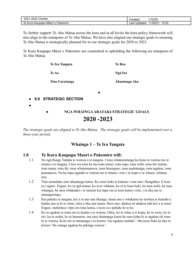| מממר<br>$\cap$ harter<br>202                         | /10/20<br>.∖reated                  |
|------------------------------------------------------|-------------------------------------|
| To.<br>Māori o<br>Pukemiro<br>Kura<br>Kaupapa<br>1 U | 12:53<br>1/02/21<br>Updated<br>∟asr |

To further support Te Aho Matua across the kura and at all levels the kura policy framework will also align to the matapono of Te Aho Matua. We have also aligned our strategic goals to ensuring Te Aho Matua is strategically planned for in our strategic goals for 2020 to 2023.

Te Kura Kaupapa Māori o Pukemiro are committed to upholding the following six matapono of Te Aho Matua.

| Te Reo        |
|---------------|
| Ngā Iwi       |
| Ahuatanga Ako |
|               |

#### **● 8.0 STRATEGIC SECTION**

**●**

# **● NGA WHAINGAARATAKI-STRATEGIC GOALS 2020 -2023**

**●**

*The strategic goals are aligned to Te Aho Matua. The strategic goals will be implemented over a three-year period.*

# **Whainga 1 – Te Ira Tangata**

#### **1.0 Te Kura Kaupapa Maori o Pukemiro will:**

- 1.1 No ngä Rangi Tuhaha te wairua o te tangata. I tona whakairatanga ka hono te wairua me te tinana o te tangata. I tera wa tonu ka tau tona mauri, tona tapu, tona wehi, tona iho matua, tona mana, tona ihi, tona whatumanawa, tona hinengaro, tona auahatanga, tona ngakau, tona pumanawa. Na ka tupu ngatahi te wairua me te tinana i roto i te kopu o te whaea, whänau noa.
- 1.2 Tino motuhake enei ahuatanga katoa. Ko tenei hoki te kakano i ruia mai i Rangiätea. E kore ia e ngaro. Engari, ko ta ngä matua, ko ta te whänau, ko ta te kura hoki, he mea awhi, he mea whangai, he mea whakaako i te tamaiti kia tupu ora ai tona katoa i roto, i te tika me te maungarongo.
- 1.3 Kia pakeke te tangata, kei a ia ano ana tikanga, mana ano e whakatau ko tewhea te huarahi e hiahia ana ia ki te whai, otira e tika ana mona. Heoi ano, ahakoa iti ahakoa rahi kei a ia tenei. Engari, mehemea i tipu ora tona katoa, e kore ia e paheke ki te he.
- 1.4 Ko te ngakau te mata me te kuaha o te wairua. Otira, ko te whiu o te kupu, ko te wero, ko te riri, ko te aroha, ko te humarire, me enei ahuatanga katoa he mea kuhu ki te ngakau titi tonu ki te wairua. Koia nei te timatanga o te korero 'kia ngakau mahaki'. Ma tenei hoki ka tika te korero 'He oranga ngakau he pikinga waiora'.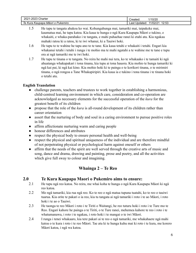| Charter                                    | /10/20                                                             |
|--------------------------------------------|--------------------------------------------------------------------|
| 1-2023                                     | `raatad                                                            |
| 202                                        | ealeu.                                                             |
| 'ukemıro<br>Māori<br>Kura<br>Kaupapa<br>ັບ | 10.52<br>1/02<br>101<br>∟as†<br>Updated<br>л л<br>$\sim$<br>ں بے ا |

- 1.5 He tapu te tangata ahakoa ko wai. Kohungahunga mai, tamariki mai, taipakeke mai, kaumatua mai, he tapu katoa. Kia kaua te hunga o ngä Kura Kaupapa Mäori e tukino, e whakaiti, e whaka-parahako i te tangata, e mahi puhaehae ranei ki etahi atu. Kia ngakau mahaki ratou ki a ratou, ki te iwi whanui, ki a Tauiwi hoki.
- 1.6 He tapu to te wahine he tapu ano to te tane. Kia kaua tetahi e whakaiti i tetahi. Engari kia whakanui tetahi i tetahi i runga i te mohio ma te mahi ngatahi a te wahine me te tane e tupu ora ai ngä tamariki me te iwi hoki.
- 1.7 He tapu te tinana o te tangata. No reira he mahi nui tera, ko te whakaako i te tamaiti ki ngä ahuatanga whakapakari i tona tinana, kia tupu ai tona hauora. Kia mohio te hunga tamariki ki ngä kai pai, ki ngä kai kino. Kia mohio hoki ki te painga o te korikori tinana, o te mirimiri tinana, o ngä rongoa a Tane Whakapiripiri. Kia kaua ia e tukino i tona tinana i te tinana hoki o tetahi atu.

#### **English Translation**

- challenge parents, teachers and trustees to work together in establishing a harmonious, child-centred learning environment in which care, consideration and co-operation are acknowledged as necessary elements for the successful operation of the *kura* for the greatest benefit of its children
- propose that the role of the *kura* is all-round development of its children rather than career orientation
- assert that the nurturing of body and soul in a caring environment to pursue positive roles in life
- affirm affectionate nurturing warm and caring people
- honour differences and attributes
- respect the physical body to ensure personal health and well-being
- respect the physical and spiritual uniqueness of the individual and are therefore mindful of not perpetrating physical or psychological harm against oneself or others
- affirm that the needs of the spirit are well served through the creative arts of music and song, dance and drama, drawing and painting, prose and poetry, and all the activities which give full sway to colour and imagining.

# **Whainga 2 – Te Reo**

# **2.0 Te Kura Kaupapa Maori o Pukemiro aims to ensure:**

- 2.1 He tapu ngä reo katoa. No reira, me whai koha te hunga o ngä Kura Kaupapa Mäori ki ngä reo katoa.
- 2.2 Mo ngä tamariki, kia rua ngä reo. Ko te reo o ngä matua tupuna tuatahi, ko te reo o tauiwi tuarua. Kia orite te pakari o ia reo, kia tu tangata ai ngä tamariki i roto i te ao Mäori, i roto hoki i te ao o Tauiwi.
- 2.3 He taonga te reo Mäori i roto i te Tiriti o Waitangi, he reo tuturu hoki i roto i te Ture mo te Reo. Engari kahore he painga o te Tiriti, o te Ture ranei, mehemea kahore te reo i roto i te whatumanawa, i roto i te ngakau, i roto hoki i te mangai o te iwi Mäori.
- 2.4 I runga i tenei whakaaro, kia tere pakari ai te reo o ngä tamariki, me whakahaere ngä mahi katoa o te kura i roto i te reo Mäori. Tae atu ki te hunga kuhu mai ki roto i te kura, me korero Mäori katoa, i ngä wa katoa.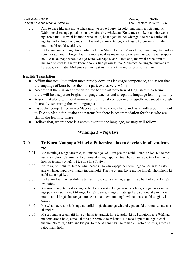| Charter  | 1/10/20  |
|----------|----------|
| 202      | `reated. |
| 1-2023   | ∵ات      |
| 'ukemıro | イク・よつ    |
| Kura     | 1/02/21  |
| Māori    | _ast     |
| Kaupapa  | Undated: |
| ັ        | ں ہے ا   |

- 2.5 Ano te wa e tika ana mo te whakauru i te reo o Tauiwi ki roto i ngä mahi a ngä tamariki. Waiho tenei ma ngä pouako (ma ia whänau)<sup>1</sup> e whakatau. Ko te mea nui ke kia noho wehe ngä reo e rua. He wahi ke mo te whakaako, he tangata ke hei whangai i te reo o Tauiwi ki ngä tamariki. Ano, ko te mea nui, kia noho rumaki te reo, kia kaua e korero mawhitiwhiti mai i tetahi reo ki tetahi reo.
- 2.6 E tika ana, ma te hunga tino mohio ki te reo Mäori, ki te ao Mäori hoki, e arahi ngä tamariki i roto i a ratou mahi. Engari kia tika ano te ngakau me te wairua o tenei hunga, me whakapono hoki ki te kaupapa whanui o ngä Kura Kaupapa Mäori. Heoi ano, me whai aroha tonu te hunga o te kura ki a ratou kaore ano kia tino pakari te reo. Mehemea he tangata tautoko i te kaupapa, awhinatia. Mehemea e tino ngakau nui ana ki te reo, a tona wa ka mau.

#### **English Translation**

- Affirm that total immersion most rapidly develops language competence, and assert that the language of kura be for the most part, exclusively Māori
- Accept that there is an appropriate time for the introduction of English at which time there will be a separate English language teacher and a separate language learning facility
- Assert that along with total immersion, bilingual competence is rapidly advanced through discreetly separating the two languages
- Insist that competence in reo Māori and culture comes hand and hand with a commitment to Te Aho Matua for kaiako and parents but there is accommodation for those who are still in the learning phase
- Believe that, where there is a commitment to the language, mastery will follow.

# **Whainga 3 – Ngā Iwi**

# **3. 0 Te Kura Kaupapa Māori o Pukemiro ains to develop in all students to:**

- 3.01 Mo te nuinga o ngä tamariki, tokomaha ngä iwi. Tera pea mo etahi, kotahi te iwi. Ko te mea nui kia mohio ngä tamariki ki o ratou ake iwi, hapu, whänau hoki. Tua atu o tera kia mohio hoki ki te katoa o ngä iwi tae noa ki a Tauiwi.
- 3.02 No reira, he mahi nui tera te whai haere i ngä whakapapa hei here i ngä tamariki ki o ratou ake whänau, hapu, iwi, matua tupuna hoki. Tua atu o tenei ko te mohio ki ngä tuhonohono ki etahi atu o ngä iwi.
- 3.03 E tika ana kia tu whakahihi te tamaiti i roto i tona ake iwi, engari kia whai koha ano ki ngä iwi katoa.
- 3.04 Kia mohio ngä tamariki ki ngä rohe, ki ngä waka, ki ngä korero nehera, ki ngä purakau, ki ngä pakiwaitara, ki ngä tikanga, ki ngä waiata, ki ngä ahuatanga katoa o tona ake iwi. Kia mohio ano ki ngä ahuatanga katoa e pa ana ki era atu o ngä iwi tae noa ki etahi o ngä iwi o tawahi.
- 3.05 Me whai haere ano hoki ngä tamariki i ngä ahuatanga whanui e pa ana ki o ratou iwi tae noa ki enei ra.
- 3.06 Ma te rongo a te tamaiti ki te awhi, ki te arataki, ki te tautoko, ki ngä tohutohu a te Whänau me tona aroha hoki, e mau ai tona piripono ki te Whänau. He mea hopu te nuinga o enei tuahua. No reira, e tika ana kia piri tonu te Whänau ki ngä tamariki i roto o te kura, i roto i a ratou mahi hoki.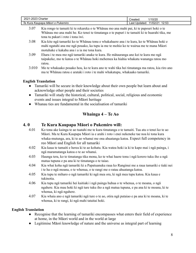| $1 - 2022$<br>Charter<br>202<br>202. | /10/20<br>'rootod<br>alec |
|--------------------------------------|---------------------------|
| 'ukemıro                             | 12:53                     |
| Kura                                 | 1/02/2                    |
| Kaupapa                              | ∟ast                      |
| Māor <sup>,</sup>                    | oated                     |

- 3.07 Kia rongo te tamaiti ki te rekareka o te Whänau mo ana mahi pai, ki te papouri hoki o te Whänau mo ana mahi he. Ko tenei te timatanga o te pupuri i te tamaiti ki te huarahi tika, me tona tu pakari i roto i tona iwi.
- 3.08 Kia kite ngä tamariki ko te Whänau tonu e whakahaere ana i te kura, ko te Whänau hoki e mahi ngatahi ana me ngä pouako, ka tupu ia me te mohio ko te wairua me te mana Mäori motuhake e kakahu ana i a ia me tona kura.
- 3.09 Ehara i te mea mo ngä tamariki anake te kura. He mätauranga ano kei te kura mo ngä taipakeke, mo te katoa o te Whänau hoki mehemea ka hiahia whakatu wananga ratou mo ratou.
- 3.010 Mo te whakaako pouako hou, ko te kura ano te wahi tika hei timatanga ma ratou, kia riro ano ma te Whänau ratou e arataki i roto i te mahi whakatupu, whakaako tamariki.

#### **English Translation**

- Tamariki will be secure in their knowledge about their own people but learn about and acknowledge other people and their societies
- Tamariki will study the historical, cultural, political, social, religious and economic events and issues integral to Māori heritage
- Whanau ties are fundamental in the socialisation of tamariki

# **Whainga 4 – Te Ao**

# **4. 0 Te Kura Kaupapa Māori o Pukemiro will:**

- 4.01 Ko tona ake kainga te ao tuatahi me te kura timatanga o te tamaiti. Tua atu o tenei ko te ao Mäori. Ma te Kura Kaupapa Mäori ia e arahi i roto i enei nekeneke tae noa ki tona kura whaka-mutunga, ara, ki te ao whanui me ona ahuatanga katoa. Expect full competency in reo Māori and English for all tamariki
- 4.02 Kia kaua te tamaiti e herea ki te ao kohatu. Kia watea hoki ia ki te kapo mai i ngä painga, i ngä maramatanga katoa o te ao whanui.
- 4.03 Haunga tera, ko te timatanga tika mona, ko te whai haere tonu i ngä korero tuku iho a ngä matua tupuna e pa ana ki te timatanga o te taiao.
- 4.04 Kia whai koha ngä tamariki ki a Papatuanuku raua ko Ranginui me a raua tamariki e tiaki nei i te ha o ngä moana, o te whenua, o te rangi me o ratau ahuatanga katoa.
- 4.05 Kia tupu te miharo o ngä tamariki ki ngä mea ora, ki ngä mea tupu katoa. Kia kaua e tukinotia.
- 4.06 Kia tupu ngä tamariki hei kaitiaki i ngä painga huhua o te whenua, o te moana, o ngä ngahere. Kia mau hoki ki ngä ture tuku iho a ngä matua tupuna, e pa ana ki te moana, ki te whenua, ki ngä ngahere.
- 4.07 Kia whaia ano e ngä tamariki ngä ture o te ao, otira ngä putaiao e pa ana ki te moana, ki te whenua, ki te rangi, ki ngä mahi tataitai hoki.

#### **English Translation**

- Recognise that the learning of tamariki encompasses what enters their field of experience at home, in the Māori world and in the world at large
- Legitimise Māori knowledge of nature and the universe as integral part of learning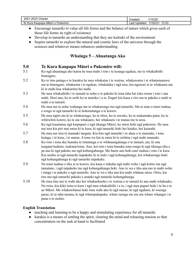| 2021-2023 Charter | /10/20<br>reated. |
|-------------------|-------------------|
| Māori             | 12:53             |
| Kura Kaupapa      | 1/02/21           |
| ukemıro           | Updated           |
|                   | Last              |

- Encourage tamariki to value all life forms and the balance of nature which gives each of those life forms its right of existence
- Develop in tamariki an understanding that they are kaitiaki of the environment
- Inspire tamariki to explore the natural and cosmic laws of the universe through the sciences and whatever means enhances understanding.

# **Whainga 5 – Ahuatanga Ako**

# **5.0 Te Kura Kaupapa Māori o Pukemiro will:**

- 5.1 Ko ngä ahuatanga ako katoa he mea mahi i roto i te koanga ngakau, me te whakaihiihi hinengaro.
- 5.2 Ko te tino painga o te karakia he mea whakatau i te wairua, whakawatea i te whatumanawa me te hinengaro, whakarata i te ngakau, whakataka i ngä raru, kia ngawari ai te whakauru atu ki te mahi kua whakaritea hei mahi.
- 5.3 He mea whakaihiihi i te tamaiti te noho o te pakeke ki tona taha hei toko mona i roto i ana mahi. Heoi ano, ko te awhi ko te tautoko i a ia. Engari kia kaua e riro ma te pakeke e mahi te mahi a te tamaiti.
- 5.4 He mea nui te noho wahangu me te whakarongo mo ngä tamariki. Ma te mau o tenei tuahua e rongo ai ngä tamariki ki te hohonutanga o te korero.
- 5.5 He mea tapiri atu ki te whakarongo, ko te titiro, ko te raweke, ko te makamaka patai, ko te whitiwhiti korero, ko te ata whakaaro, hei whakauru i te matau me te aroa.
- 5.6 Ko ngä kaumatua ngä kaipupuri o ngä tikanga Mäori, ko ratou hoki ngä pukorero. He mea nui tera kia piri mai ratou ki te kura, ki ngä tamariki hoki hei kaiako, hei kaiarahi.
- 5.7 He mea nui tera te manaaki tangata. Kia kite ngä tamariki i te ahua o te manaaki, i tona kainga, i te kura, i te marae. A tona wa kia tu ratou ki te awhina i ngä mahi manaaki.
- 5.8 Ko roto i tona ake hunuku te timatanga o te whänaungatanga o te tamaiti, ara, ki ona tungane/tuahine, tuakana/teina. Ano, kei roto i tona hunuku tona rongo ki ngä tikanga tika e pa ana ki ngä pakeke me ngä kohungahunga. Me haere ano hoki enei tuahua i roto i te kura. Kia mohio ai ngä tamariki taipakeke ki te tiaki i ngä kohungahunga, kia whakarongo hoki ngä kohungahunga ki ngä tamariki taipakeke.
- 5.9 Na tenei tuahua e tika ai te korero, kia kaua e taikaha ngä mahi wehe i ngä kotiro me ngä tamatane, i ngä taipakeke me ngä kohungahunga hoki. Ano te wa e tika ana mo te mahi wehe i runga i te pakeke o ngä tamariki. Ano te wa e tika ana kia mahi whänau ratou. Otira, kia riro ma ngä tamariki pakeke e arataki ngä tamariki kohungahunga.
- 5.10 He mea tino nui te wahi ako hei whakaohooho i te wairua o te tamaiti ki ana mahi whakaako. No reira, kia kikii tonu te kura i ngä mea whakaihiihi i a ia, i ngä mea pupuri hoki i te ha o te ao Mäori. Me whakawhanui hoki tona wahi ako ki ngä marae, ki ngä ngahere, ki waenga parae, ki te taha moana, ki ngä wharepukapuka, whare taonga me era atu whare whangai i te puna o te mohio.

#### **English Translation**

- teaching and learning to be a happy and stimulating experience for all tamariki
- karakia is a means of settling the spirit, clearing the mind and releasing tension so that concentration on the task at hand is facilitated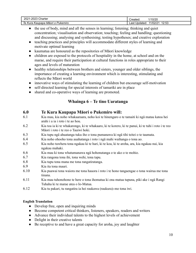| :1-2023 Charter     | 1/10/20  |
|---------------------|----------|
| ∍∩ח                 | `reated  |
| ZUZ F               | calcu    |
| ı Kaupapa Māorı o F | 1つ・5つ    |
| ∙ukemıro            | 11/02/21 |
| Kura                | Updated  |
| --                  | _ast     |
| . J                 | ں ت      |

- the use of body, mind and all the senses in learning; listening; thinking and quiet concentration; visualisation and observation; touching; feeling and handling; questioning and discussing; analysing and synthesising; testing hypotheses; and creative exploration
- teaching practices and principles will accommodate different styles of learning and motivate optimal learning
- kaumatua are honoured as the repositories of Māori knowledge
- children are exposed to the protocols of hospitality in the home, at school and on the marae, and require their participation at cultural functions in roles appropriate to their ages and levels of maturation
- healthy relationships between brothers and sisters, younger and older siblings, the importance of creating a learning environment which is interesting, stimulating and reflects the Māori world
- innovative ways of stimulating the learning of children but encourage self-motivation
- self-directed learning for special interests of tamariki are in place
- shared and co-operative ways of learning are promoted.

# **Whainga 6 – Te tino Uaratanga**

# **6.0 Te Kura Kaupapa Māori o Pukemiro will:**

- 6.1 Kia mau, kia noho whakaaraara, noho koi te hinengaro o te tamaiti ki ngä matau katoa hei arahi i a ia i roto i te ao hou.
- 6.2 Kia toa ia ki te whakarongo, ki te whakaaro, ki te korero, ki te panui, ki te tuhi i roto i te reo Mäori i roto i te reo o Tauiwi hoki.
- 6.3 Kia tupu ngä ahuatanga tuku iho o tona pumanawa ki ngä tihi teitei o te taumata.
- 6.4 Kia noho ohooho tona auahatanga i roto i ngä mahi waihanga o tona ao.
- 6.5 Kia noho tuwhera tona ngakau ki te hari, ki te koa, ki te aroha, ara, kia ngakau nui, kia ngakau mahaki.
- 6.6 Kia mau ki tona whatumanawa ngä hohonutanga o te ako o te mohio.
- 6.7 Kia rangona tona ihi, tona wehi, tona tapu.
- 6.8 Kia tupu tona mana me tona rangatiratanga.
- 6.9 Kia ita tona mauri.
- 6.10 Kia puawai tona waiora me tona hauora i roto i te hono tangaengae o tona wairua me tona tinana.
- 6.11 Kia mau tuhonohono te here o tona ihomatua ki ona matua tupuna, piki ake i ngä Rangi Tuhaha ki te marae atea o Io-Matua.
- 6.12 Kia tu pakari, tu rangatira ia hei raukawa (raukura)<sup>2</sup> mo tona iwi.

#### **English Translation**

- Develop free, open and inquiring minds
- Become competent critical thinkers, listeners, speakers, readers and writers
- Advance their individual talents to the highest levels of achievement
- Delight in their creative talents
- Be receptive to and have a great capacity for aroha, joy and laughter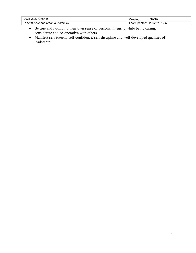| $\sim$<br>∘מ∩מ<br>202<br>.harter                                         | /10/20<br>" "R"<br>. Jalea:                                            |
|--------------------------------------------------------------------------|------------------------------------------------------------------------|
| –<br>-<br>le i<br>Pukemiro<br>Māor<br>י הנ.<br>m<br>- nauba.<br>`\UI<br> | 10.52<br>$\sim$ $\sim$<br>. /( ) '<br>-----<br>∟ast<br>ں ہے ا<br>, , , |

- Be true and faithful to their own sense of personal integrity while being caring, considerate and co-operative with others
- Manifest self-esteem, self-confidence, self-discipline and well-developed qualities of leadership.